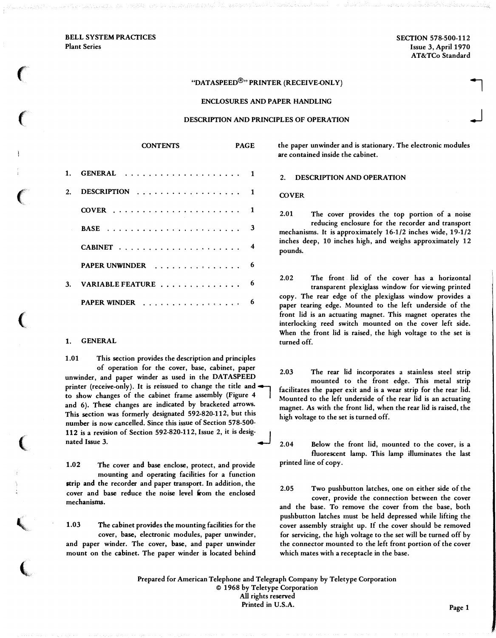BELL SYSTEM PRACTICES Plant Series

 $\big($ 

 $\epsilon$ 

 $\epsilon$ 

(

 $\big($ 

**'** 

 $\big($ 

SECTION 578-500-112 Issue 3, April 1970 AT&TCo Standard

## "DATASPEED<sup>®</sup>" PRINTER (RECEIVE-ONLY)

### ENCLOSURES AND PAPER HANDLING

## DESCRIPTION AND PRINCIPLES OF OPERATION

PAGE

| 2. |                     |   |
|----|---------------------|---|
|    |                     |   |
|    |                     | 3 |
|    |                     |   |
|    | PAPER UNWINDER      | 6 |
|    | 3. VARIABLE FEATURE | 6 |
|    | PAPER WINDER        | 6 |

**CONTENTS** 

#### 1. GENERAL

1.01 This section provides the description and principles of operation for the cover, base, cabinet, paper unwinder, and paper winder as used in the DATASPEED printer (receive-only). It is reissued to change the title and  $\blacktriangleleft$ to show changes of the cabinet frame assembly (Figure 4 and 6). These changes are indicated by bracketed arrows. This section was formerly designated 592-820-112, but this number is now cancelled. Since this issue of Section 578-500- 112 is a revision of Section 592-820-112, Issue 2, it is desig- 1 nated Issue 3.

1.02 The cover and base enclose, protect, and provide mounting and operating facilities for a function strip and the recorder and paper transport. In addition, the cover and base reduce the noise level from the enclosed mechanisms.

1.03 The cabinet provides the mounting facilities for the cover, base, electronic modules, paper unwinder, and paper winder. The cover, base, and paper unwinder mount on the cabinet. The paper winder is located behind the paper unwinder and is stationary. The electronic modules are contained inside the cabinet.

2. DESCRIPTION AND OPERATION

**COVER** 

2.01 The cover provides the top portion of a noise reducing enclosure for the recorder and transport mechanisms. It is approximately 16-1/2 inches wide, 19-1/2 inches deep, 10 inches high, and weighs approximately 12 pounds.

2.02 The front lid of the cover has a horizontal transparent plexiglass window for viewing printed copy. The rear edge of the plexiglass window provides a paper tearing edge. Mounted to the left underside of the front lid is an actuating magnet. This magnet operates the interlocking reed switch mounted on the cover left side. When the front lid is raised, the high voltage to the set is turned off.

2.03 The rear lid incorporates a stainless steel strip mounted to the front edge. This metal strip facilitates the paper exit and is a wear strip for the rear lid. Mounted to the left underside of the rear lid is an actuating magnet. As with the front lid, when the rear lid is raised, the high voltage to the set is turned off.

2.04 Below the front lid, mounted to the cover, is a fluorescent lamp. This lamp illuminates the last printed line of copy.

2.05 Two pushbutton latches, one on either side of the cover, provide the connection between the cover and the base. To remove the cover from the base, both pushbutton latches must be held depressed while lifting the cover assembly straight up. If the cover should be removed for servicing, the high voltage to the set will be turned off by the connector mounted to the left front portion of the cover which mates with a receptacle in the base.

Prepared for American Telephone and Telegraph Company by Teletype Corporation © 1968 by Teletype Corporation All rights reserved Printed in U.S.A. Page 1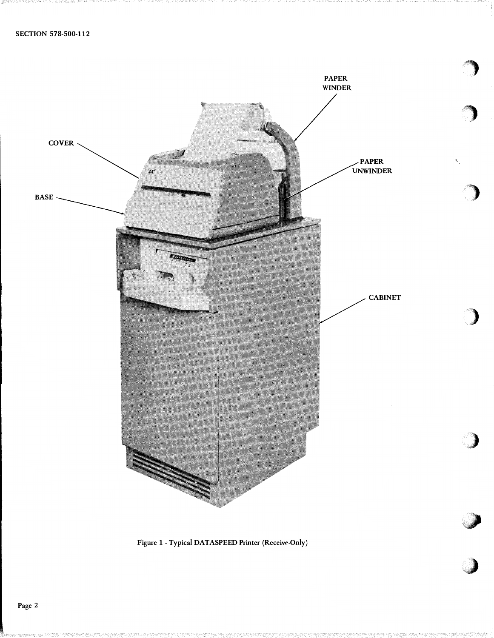

Figure 1 - Typical DATASPEED Printer (Receive-Only)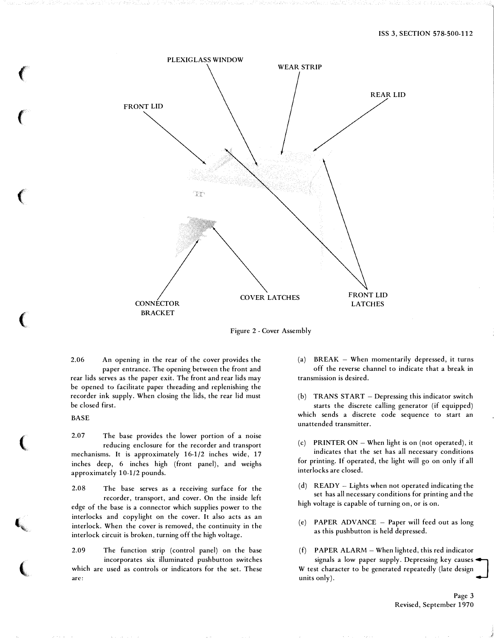

Figure 2 -Cover Assembly

2.06 An opening in the rear of the cover provides the paper entrance. The opening between the front and rear lids serves as the paper exit. The front and rear lids may be opened to facilitate paper threading and replenishing the recorder ink supply. When closing the lids, the rear lid must be closed first.

BASE

 $\left($ 

 $\left($ 

 $\big($ 

 $\big($ 

(

( \,

 $\big($ 

2.07 The base provides the lower portion of a noise reducing enclosure for the recorder and transport mechanisms. It is approximately 16-1/2 inches wide, 17 inches deep, 6 inches high (front panel), and weighs approximately 10-1/2 pounds.

2.08 The base serves as a receiving surface for the recorder, transport, and cover. On the inside left edge of the base is a connector which supplies power to the interlocks and copylight on the cover. It also acts as an interlock. When the cover is removed, the continuity in the interlock circuit is broken, turning off the high voltage.

2.09 The function strip (control panel) on the base incorporates six illuminated pushbutton switches which are used as controls or indicators for the set. These are:

(a) BREAK  $-$  When momentarily depressed, it turns off the reverse channel to indicate that a break in transmission is desired.

(b) TRANS START - Depressing this indicator switch starts the discrete calling generator (if equipped) which sends a discrete code sequence to start an unattended transmitter.

(c) PRINTER ON  $-$  When light is on (not operated), it indicates that the set has all necessary conditions for printing. If operated, the light will go on only if all interlocks are closed.

 $(d)$  READY - Lights when not operated indicating the set has all necessary conditions for printing and the high voltage is capable of turning on, or is on.

(e) PAPER ADVANCE - Paper will feed out as long as this pushbutton is held depressed.

 $(f)$  PAPER ALARM – When lighted, this red indicator signals a low paper supply. Depressing key causes W test character to be generated repeatedly (late design units only).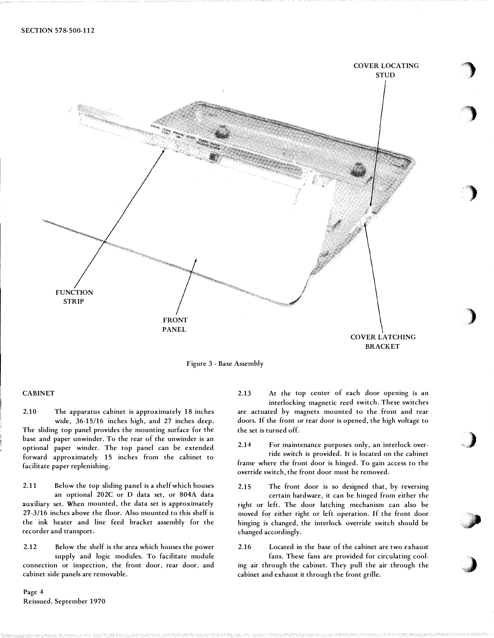

Figure 3 - Base Assembly

# CABINET

2.10 The apparatus cabinet is approximately 18 inches wide, 36-15/16 inches high, and 27 inches deep. The sliding top panel provides the mounting surface for the base and paper unwinder. To the rear of the unwinder is an optional paper winder. The top panel can be extended forward approximately 15 inches from the cabinet to facilitate paper replenishing.

2.11 Below the top sliding panel is a shelf which houses an optional 202C or D data set, or 804A data auxiliary set. When mounted, the data set is approximately 27-3/16 inches above the floor. Also mounted to this shelf is the ink heater and line feed bracket assembly for the recorder and transport.

2.12 Below the shelf is the area which houses the power supply and logic modules. To facilitate module connection or inspection, the front door, rear door, and cabinet side panels are removable.

Page 4 Reissued, September 1970

 $2.13$  At the top center of each door opening is an interlocking magnetic reed switch. These switches are actuated by magnets mounted to the front and rear doors. If the front or rear door is opened, the high voltage to the set is turned off.

2.14 For maintenance purposes only, an interlock override switch is provided. It is located on the cabinet frame where the front door is hinged. To gain access to the override switch, the front door must be removed.

2.15 The front door is so designed that, by reversing certain hardware, it can be hinged from either the right or left. The door latching mechanism can also be moved for either right or left operation. If the front door hinging is changed, the interlock override switch should be changed accordingly.

'&a

2.16 Located in the base of the cabinet are two exhaust

fans. These fans are provided for circulating cooling air through the cabinet. They pull the air through the cabinet and exhaust it through the front grille.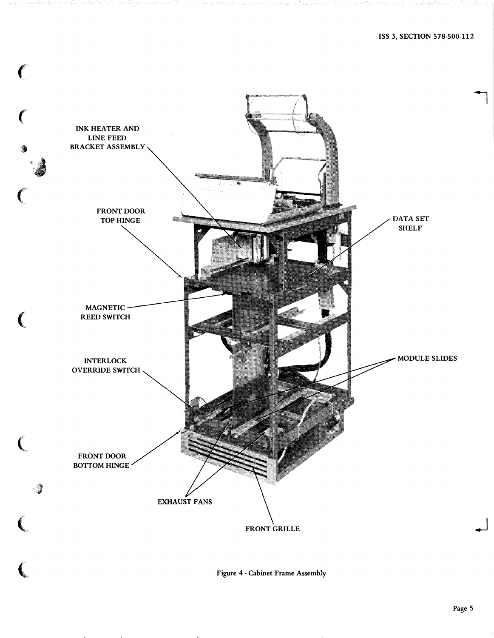

Figure <sup>4</sup>- Cabinet Frame Assembly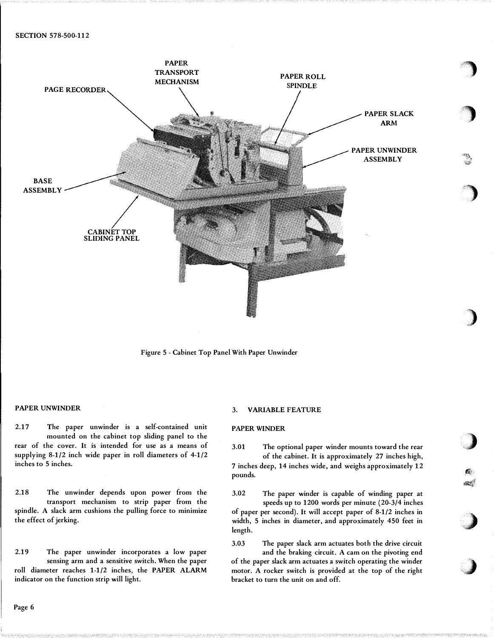



## PAPER UNWINDER

2.17 The paper unwinder is a self-contained unit mounted on the cabinet top sliding panel to the rear of the cover. It is intended for use as a means of supplying 8-1/2 inch wide paper in roll diameters of 4-1/2 inches to 5 inches.

2.18 The unwinder depends upon power from the transport mechanism to strip paper from the spindle. A slack arm cushions the pulling force to minimize the effect of jerking.

2.19 The paper unwinder incorporates a low paper sensing arm and a sensitive switch. When the paper roll diameter reaches 1-1/2 inches, the PAPER ALARM indicator on the function strip will light.

## 3. VARIABLE FEATURE

# PAPER WINDER

3.01 The optional paper winder mounts toward the rear of the cabinet. It is approximately 27 inches high,

<sup>7</sup>inches deep, 14 inches wide, and weighs approximately <sup>12</sup> pounds.

fiv

 $\mathcal{P}^{(i)}_{\mathcal{P}^{(i)}_{\mathcal{P}^{(i)}_{\mathcal{P}^{(i)}}}}$ 

 $\sim$ 

.,)

3.02 The paper winder is capable of winding paper at speeds up to 1200 words per minute (20-3/4 inches of paper per second). It will accept paper of 8-1/2 inches in width, 5 inches in diameter, and approximately 450 feet in length.

3.03 The paper slack arm actuates both the drive circuit and the braking circuit. A cam on the pivoting end

of the paper slack arm actuates a switch operating the winder motor. A rocker switch is provided at the top of the right bracket to turn the unit on and off.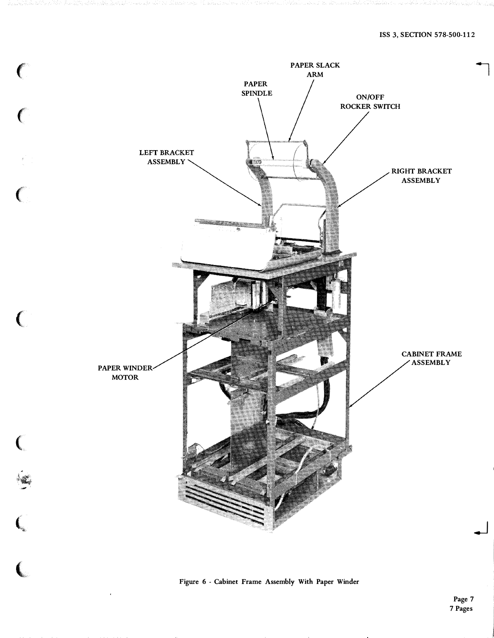

Figure <sup>6</sup>- Cabinet Frame Assembly With Paper Winder